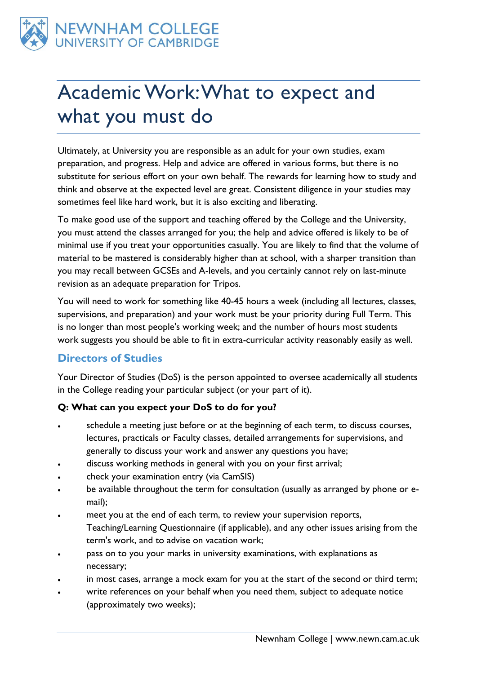

# Academic Work: What to expect and what you must do

Ultimately, at University you are responsible as an adult for your own studies, exam preparation, and progress. Help and advice are offered in various forms, but there is no substitute for serious effort on your own behalf. The rewards for learning how to study and think and observe at the expected level are great. Consistent diligence in your studies may sometimes feel like hard work, but it is also exciting and liberating.

To make good use of the support and teaching offered by the College and the University, you must attend the classes arranged for you; the help and advice offered is likely to be of minimal use if you treat your opportunities casually. You are likely to find that the volume of material to be mastered is considerably higher than at school, with a sharper transition than you may recall between GCSEs and A-levels, and you certainly cannot rely on last-minute revision as an adequate preparation for Tripos.

You will need to work for something like 40-45 hours a week (including all lectures, classes, supervisions, and preparation) and your work must be your priority during Full Term. This is no longer than most people's working week; and the number of hours most students work suggests you should be able to fit in extra-curricular activity reasonably easily as well.

# **Directors of Studies**

Your Director of Studies (DoS) is the person appointed to oversee academically all students in the College reading your particular subject (or your part of it).

#### **Q: What can you expect your DoS to do for you?**

- schedule a meeting just before or at the beginning of each term, to discuss courses, lectures, practicals or Faculty classes, detailed arrangements for supervisions, and generally to discuss your work and answer any questions you have;
- discuss working methods in general with you on your first arrival;
- check your examination entry (via CamSIS)
- be available throughout the term for consultation (usually as arranged by phone or email);
- meet you at the end of each term, to review your supervision reports, Teaching/Learning Questionnaire (if applicable), and any other issues arising from the term's work, and to advise on vacation work;
- pass on to you your marks in university examinations, with explanations as necessary;
- in most cases, arrange a mock exam for you at the start of the second or third term;
- write references on your behalf when you need them, subject to adequate notice (approximately two weeks);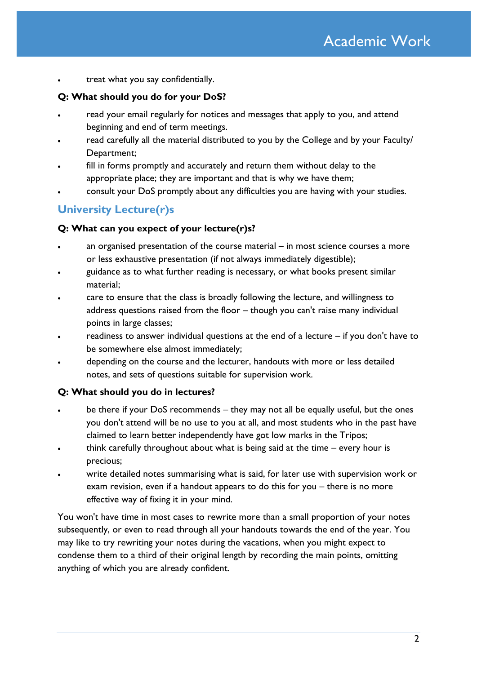treat what you say confidentially.

#### **Q: What should you do for your DoS?**

- read your email regularly for notices and messages that apply to you, and attend beginning and end of term meetings.
- read carefully all the material distributed to you by the College and by your Faculty/ Department;
- fill in forms promptly and accurately and return them without delay to the appropriate place; they are important and that is why we have them;
- consult your DoS promptly about any difficulties you are having with your studies.

# **University Lecture(r)s**

#### **Q: What can you expect of your lecture(r)s?**

- an organised presentation of the course material in most science courses a more or less exhaustive presentation (if not always immediately digestible);
- guidance as to what further reading is necessary, or what books present similar material;
- care to ensure that the class is broadly following the lecture, and willingness to address questions raised from the floor – though you can't raise many individual points in large classes;
- readiness to answer individual questions at the end of a lecture if you don't have to be somewhere else almost immediately;
- depending on the course and the lecturer, handouts with more or less detailed notes, and sets of questions suitable for supervision work.

#### **Q: What should you do in lectures?**

- be there if your DoS recommends they may not all be equally useful, but the ones you don't attend will be no use to you at all, and most students who in the past have claimed to learn better independently have got low marks in the Tripos;
- think carefully throughout about what is being said at the time every hour is precious;
- write detailed notes summarising what is said, for later use with supervision work or exam revision, even if a handout appears to do this for you – there is no more effective way of fixing it in your mind.

You won't have time in most cases to rewrite more than a small proportion of your notes subsequently, or even to read through all your handouts towards the end of the year. You may like to try rewriting your notes during the vacations, when you might expect to condense them to a third of their original length by recording the main points, omitting anything of which you are already confident.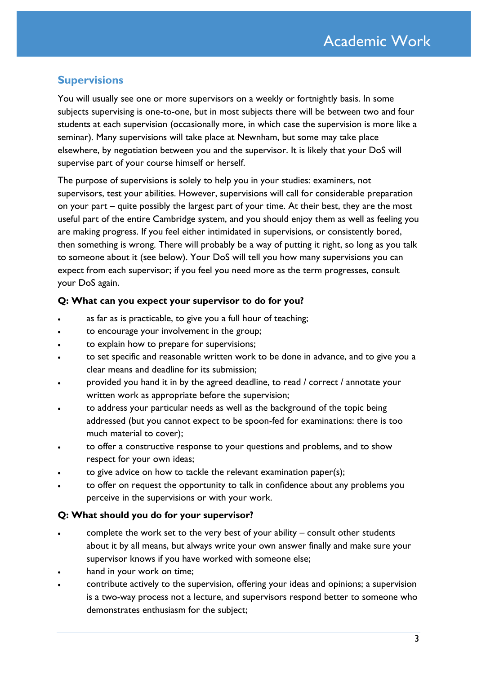## **Supervisions**

You will usually see one or more supervisors on a weekly or fortnightly basis. In some subjects supervising is one-to-one, but in most subjects there will be between two and four students at each supervision (occasionally more, in which case the supervision is more like a seminar). Many supervisions will take place at Newnham, but some may take place elsewhere, by negotiation between you and the supervisor. It is likely that your DoS will supervise part of your course himself or herself.

The purpose of supervisions is solely to help you in your studies: examiners, not supervisors, test your abilities. However, supervisions will call for considerable preparation on your part – quite possibly the largest part of your time. At their best, they are the most useful part of the entire Cambridge system, and you should enjoy them as well as feeling you are making progress. If you feel either intimidated in supervisions, or consistently bored, then something is wrong. There will probably be a way of putting it right, so long as you talk to someone about it (see below). Your DoS will tell you how many supervisions you can expect from each supervisor; if you feel you need more as the term progresses, consult your DoS again.

#### **Q: What can you expect your supervisor to do for you?**

- as far as is practicable, to give you a full hour of teaching;
- to encourage your involvement in the group;
- to explain how to prepare for supervisions;
- to set specific and reasonable written work to be done in advance, and to give you a clear means and deadline for its submission;
- provided you hand it in by the agreed deadline, to read / correct / annotate your written work as appropriate before the supervision;
- to address your particular needs as well as the background of the topic being addressed (but you cannot expect to be spoon-fed for examinations: there is too much material to cover);
- to offer a constructive response to your questions and problems, and to show respect for your own ideas;
- to give advice on how to tackle the relevant examination paper(s);
- to offer on request the opportunity to talk in confidence about any problems you perceive in the supervisions or with your work.

#### **Q: What should you do for your supervisor?**

- complete the work set to the very best of your ability consult other students about it by all means, but always write your own answer finally and make sure your supervisor knows if you have worked with someone else;
- hand in your work on time;
- contribute actively to the supervision, offering your ideas and opinions; a supervision is a two-way process not a lecture, and supervisors respond better to someone who demonstrates enthusiasm for the subject;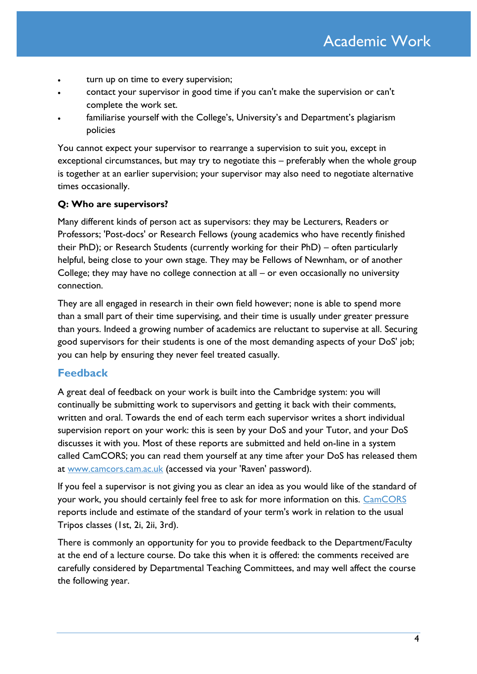- turn up on time to every supervision;
- contact your supervisor in good time if you can't make the supervision or can't complete the work set.
- familiarise yourself with the College's, University's and Department's plagiarism policies

You cannot expect your supervisor to rearrange a supervision to suit you, except in exceptional circumstances, but may try to negotiate this – preferably when the whole group is together at an earlier supervision; your supervisor may also need to negotiate alternative times occasionally.

#### **Q: Who are supervisors?**

Many different kinds of person act as supervisors: they may be Lecturers, Readers or Professors; 'Post-docs' or Research Fellows (young academics who have recently finished their PhD); or Research Students (currently working for their PhD) – often particularly helpful, being close to your own stage. They may be Fellows of Newnham, or of another College; they may have no college connection at all – or even occasionally no university connection.

They are all engaged in research in their own field however; none is able to spend more than a small part of their time supervising, and their time is usually under greater pressure than yours. Indeed a growing number of academics are reluctant to supervise at all. Securing good supervisors for their students is one of the most demanding aspects of your DoS' job; you can help by ensuring they never feel treated casually.

#### <span id="page-3-0"></span>**Feedback**

A great deal of feedback on your work is built into the Cambridge system: you will continually be submitting work to supervisors and getting it back with their comments, written and oral. Towards the end of each term each supervisor writes a short individual supervision report on your work: this is seen by your DoS and your Tutor, and your DoS discusses it with you. Most of these reports are submitted and held on-line in a system called CamCORS; you can read them yourself at any time after your DoS has released them at [www.camcors.cam.ac.uk](http://www.camcors.cam.ac.uk/) (accessed via your 'Raven' password).

If you feel a supervisor is not giving you as clear an idea as you would like of the standard of your work, you should certainly feel free to ask for more information on this. [CamCORS](http://www.camcors.cam.ac.uk/) reports include and estimate of the standard of your term's work in relation to the usual Tripos classes (1st, 2i, 2ii, 3rd).

There is commonly an opportunity for you to provide feedback to the Department/Faculty at the end of a lecture course. Do take this when it is offered: the comments received are carefully considered by Departmental Teaching Committees, and may well affect the course the following year.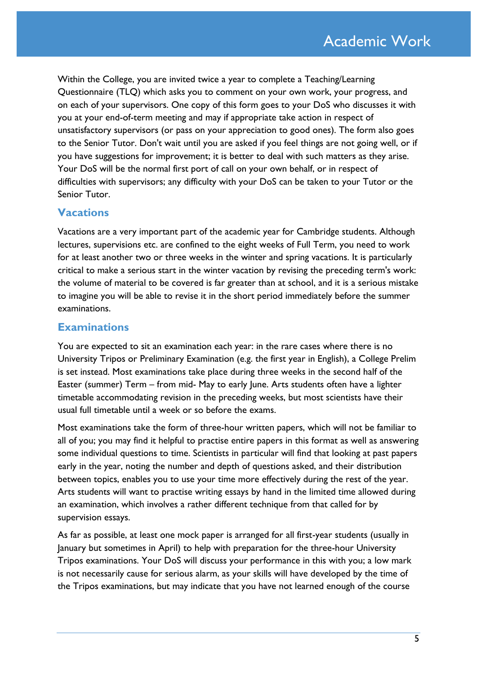Within the College, you are invited twice a year to complete a Teaching/Learning Questionnaire (TLQ) which asks you to comment on your own work, your progress, and on each of your supervisors. One copy of this form goes to your DoS who discusses it with you at your end-of-term meeting and may if appropriate take action in respect of unsatisfactory supervisors (or pass on your appreciation to good ones). The form also goes to the Senior Tutor. Don't wait until you are asked if you feel things are not going well, or if you have suggestions for improvement; it is better to deal with such matters as they arise. Your DoS will be the normal first port of call on your own behalf, or in respect of difficulties with supervisors; any difficulty with your DoS can be taken to your Tutor or the Senior Tutor.

### **Vacations**

Vacations are a very important part of the academic year for Cambridge students. Although lectures, supervisions etc. are confined to the eight weeks of Full Term, you need to work for at least another two or three weeks in the winter and spring vacations. It is particularly critical to make a serious start in the winter vacation by revising the preceding term's work: the volume of material to be covered is far greater than at school, and it is a serious mistake to imagine you will be able to revise it in the short period immediately before the summer examinations.

#### **Examinations**

You are expected to sit an examination each year: in the rare cases where there is no University Tripos or Preliminary Examination (e.g. the first year in English), a College Prelim is set instead. Most examinations take place during three weeks in the second half of the Easter (summer) Term – from mid- May to early June. Arts students often have a lighter timetable accommodating revision in the preceding weeks, but most scientists have their usual full timetable until a week or so before the exams.

Most examinations take the form of three-hour written papers, which will not be familiar to all of you; you may find it helpful to practise entire papers in this format as well as answering some individual questions to time. Scientists in particular will find that looking at past papers early in the year, noting the number and depth of questions asked, and their distribution between topics, enables you to use your time more effectively during the rest of the year. Arts students will want to practise writing essays by hand in the limited time allowed during an examination, which involves a rather different technique from that called for by supervision essays.

As far as possible, at least one mock paper is arranged for all first-year students (usually in January but sometimes in April) to help with preparation for the three-hour University Tripos examinations. Your DoS will discuss your performance in this with you; a low mark is not necessarily cause for serious alarm, as your skills will have developed by the time of the Tripos examinations, but may indicate that you have not learned enough of the course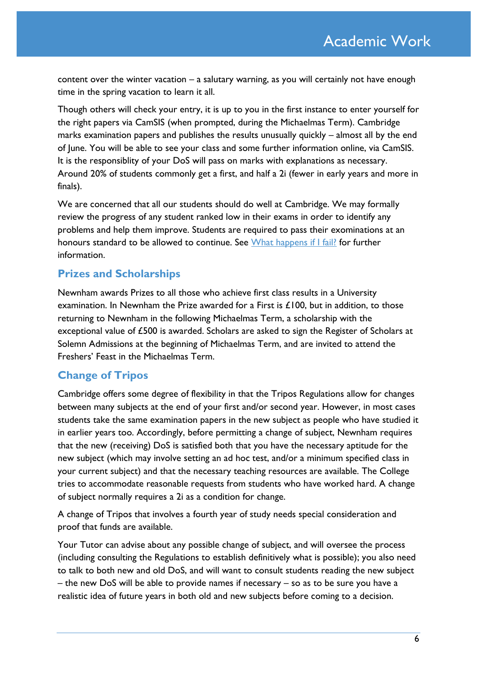content over the winter vacation – a salutary warning, as you will certainly not have enough time in the spring vacation to learn it all.

Though others will check your entry, it is up to you in the first instance to enter yourself for the right papers via CamSIS (when prompted, during the Michaelmas Term). Cambridge marks examination papers and publishes the results unusually quickly – almost all by the end of June. You will be able to see your class and some further information online, via CamSIS. It is the responsiblity of your DoS will pass on marks with explanations as necessary. Around 20% of students commonly get a first, and half a 2i (fewer in early years and more in finals).

We are concerned that all our students should do well at Cambridge. We may formally review the progress of any student ranked low in their exams in order to identify any problems and help them improve. Students are required to pass their exominations at an honours standard to be allowed to continue. See [What happens if I fail?](http://www.newn.cam.ac.uk/student-life/student-information/student-handbook/student-procedures-and-guidance/) for further information.

## **Prizes and Scholarships**

Newnham awards Prizes to all those who achieve first class results in a University examination. In Newnham the Prize awarded for a First is £100, but in addition, to those returning to Newnham in the following Michaelmas Term, a scholarship with the exceptional value of £500 is awarded. Scholars are asked to sign the Register of Scholars at Solemn Admissions at the beginning of Michaelmas Term, and are invited to attend the Freshers' Feast in the Michaelmas Term.

# **Change of Tripos**

Cambridge offers some degree of flexibility in that the Tripos Regulations allow for changes between many subjects at the end of your first and/or second year. However, in most cases students take the same examination papers in the new subject as people who have studied it in earlier years too. Accordingly, before permitting a change of subject, Newnham requires that the new (receiving) DoS is satisfied both that you have the necessary aptitude for the new subject (which may involve setting an ad hoc test, and/or a minimum specified class in your current subject) and that the necessary teaching resources are available. The College tries to accommodate reasonable requests from students who have worked hard. A change of subject normally requires a 2i as a condition for change.

A change of Tripos that involves a fourth year of study needs special consideration and proof that funds are available.

Your Tutor can advise about any possible change of subject, and will oversee the process (including consulting the Regulations to establish definitively what is possible); you also need to talk to both new and old DoS, and will want to consult students reading the new subject – the new DoS will be able to provide names if necessary – so as to be sure you have a realistic idea of future years in both old and new subjects before coming to a decision.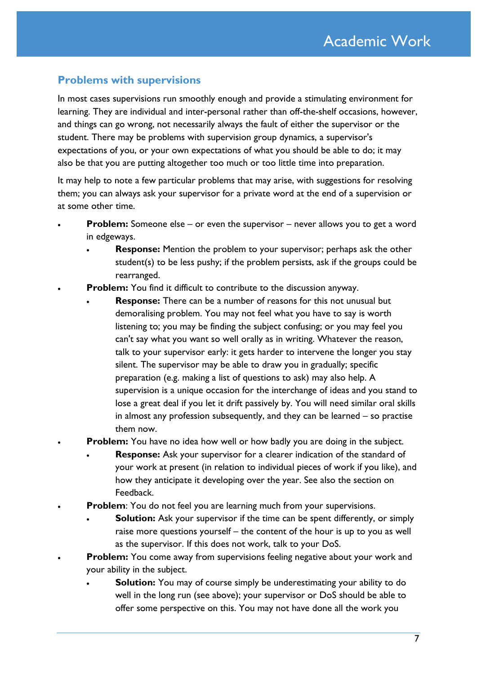## **Problems with supervisions**

In most cases supervisions run smoothly enough and provide a stimulating environment for learning. They are individual and inter-personal rather than off-the-shelf occasions, however, and things can go wrong, not necessarily always the fault of either the supervisor or the student. There may be problems with supervision group dynamics, a supervisor's expectations of you, or your own expectations of what you should be able to do; it may also be that you are putting altogether too much or too little time into preparation.

It may help to note a few particular problems that may arise, with suggestions for resolving them; you can always ask your supervisor for a private word at the end of a supervision or at some other time.

- **Problem:** Someone else or even the supervisor never allows you to get a word in edgeways.
	- **Response:** Mention the problem to your supervisor; perhaps ask the other student(s) to be less pushy; if the problem persists, ask if the groups could be rearranged.
- **Problem:** You find it difficult to contribute to the discussion anyway.
	- **Response:** There can be a number of reasons for this not unusual but demoralising problem. You may not feel what you have to say is worth listening to; you may be finding the subject confusing; or you may feel you can't say what you want so well orally as in writing. Whatever the reason, talk to your supervisor early: it gets harder to intervene the longer you stay silent. The supervisor may be able to draw you in gradually; specific preparation (e.g. making a list of questions to ask) may also help. A supervision is a unique occasion for the interchange of ideas and you stand to lose a great deal if you let it drift passively by. You will need similar oral skills in almost any profession subsequently, and they can be learned – so practise them now.
	- **Problem:** You have no idea how well or how badly you are doing in the subject.
		- **Response:** Ask your supervisor for a clearer indication of the standard of your work at present (in relation to individual pieces of work if you like), and how they anticipate it developing over the year. See also the section on [Feedback.](#page-3-0)
- **Problem:** You do not feel you are learning much from your supervisions.
	- **Solution:** Ask your supervisor if the time can be spent differently, or simply raise more questions yourself – the content of the hour is up to you as well as the supervisor. If this does not work, talk to your DoS.
- **Problem:** You come away from supervisions feeling negative about your work and your ability in the subject.
	- **Solution:** You may of course simply be underestimating your ability to do well in the long run (see above); your supervisor or DoS should be able to offer some perspective on this. You may not have done all the work you